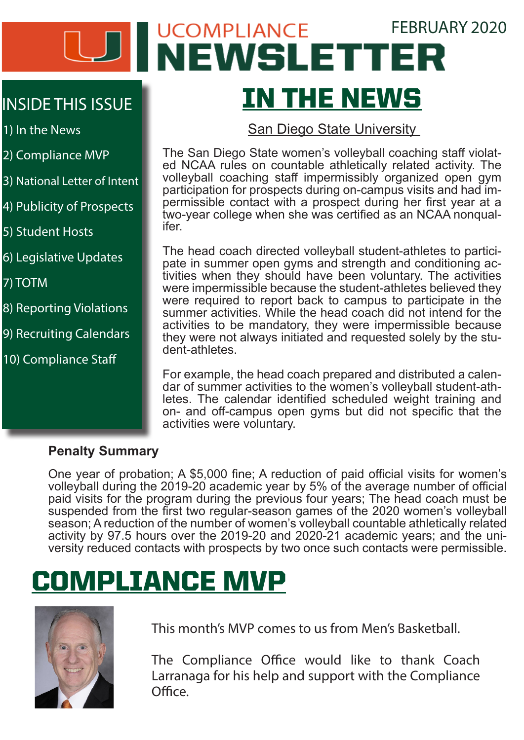# UCOMPLIANCE FEBRUARY 2020 IN THE NEWS

#### INSIDE THIS ISSUE

1) In the News

- 2) Compliance MVP
- 3) National Letter of Intent
- 4) Publicity of Prospects
- 5) Student Hosts
- 6) Legislative Updates

7) TOTM

- 8) Reporting Violations
- 9) Recruiting Calendars
- 10) Compliance Staff

#### San Diego State University

The San Diego State women's volleyball coaching staff violat- ed NCAA rules on countable athletically related activity. The volleyball coaching staff impermissibly organized open gym participation for prospects during on-campus visits and had impermissible contact with a prospect during her first year at a two-year college when she was certified as an NCAA nonqual- ifer.

The head coach directed volleyball student-athletes to partici- pate in summer open gyms and strength and conditioning ac- tivities when they should have been voluntary. The activities were impermissible because the student-athletes believed they were required to report back to campus to participate in the summer activities. While the head coach did not intend for the activities to be mandatory, they were impermissible because they were not always initiated and requested solely by the student-athletes.

For example, the head coach prepared and distributed a calendar of summer activities to the women's volleyball student-athletes. The calendar identified scheduled weight training and on- and off-campus open gyms but did not specific that the activities were voluntary.

#### **Penalty Summary**

One year of probation; A \$5,000 fine; A reduction of paid official visits for women's volleyball during the 2019-20 academic year by 5% of the average number of official paid visits for the program during the previous four years; The head coach must be suspended from the first two regular-season games of the 2020 women's volleyball season; A reduction of the number of women's volleyball countable athletically related<br>activity by 97.5 hours over the 2019-20 and 2020-21 academic years; and the university reduced contacts with prospects by two once such contacts were permissible.

# COMPLIANCE MVP



This month's MVP comes to us from Men's Basketball.

The Compliance Office would like to thank Coach Larranaga for his help and support with the Compliance Office.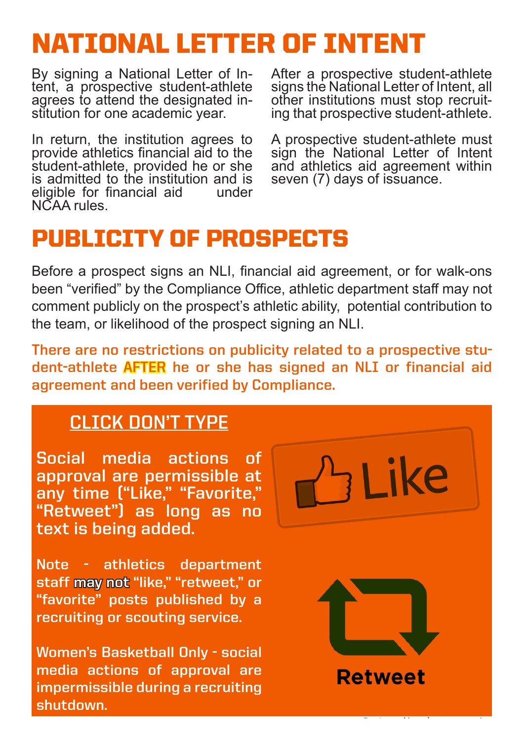## NATIONAL LETTER OF INTENT

By signing a National Letter of In- tent, a prospective student-athlete agrees to attend the designated in- stitution for one academic year.

In return, the institution agrees to provide athletics financial aid to the student-athlete, provided he or she is admitted to the institution and is<br>eligible for financial aid eligible for financial aid NCAA rules.

After a prospective student-athlete signs the National Letter of Intent, all<br>other institutions must stop recruiting that prospective student-athlete.

A prospective student-athlete must sign the National Letter of Intent and athletics aid agreement within seven (7) days of issuance.

## PUBLICITY OF PROSPECTS

Before a prospect signs an NLI, financial aid agreement, or for walk-ons been "verified" by the Compliance Office, athletic department staff may not comment publicly on the prospect's athletic ability, potential contribution to the team, or likelihood of the prospect signing an NLI.

**There are no restrictions on publicity related to a prospective student-athlete AFTER he or she has signed an NLI or financial aid agreement and been verified by Compliance.** 

#### **CLICK DON'T TYPE**

**Social media actions of approval are permissible at any time ("Like," "Favorite," "Retweet") as long as no text is being added.**

**Note - athletics department staff may not "like," "retweet," or "favorite" posts published by a recruiting or scouting service.** 

**Women's Basketball Only - social media actions of approval are impermissible during a recruiting shutdown.**

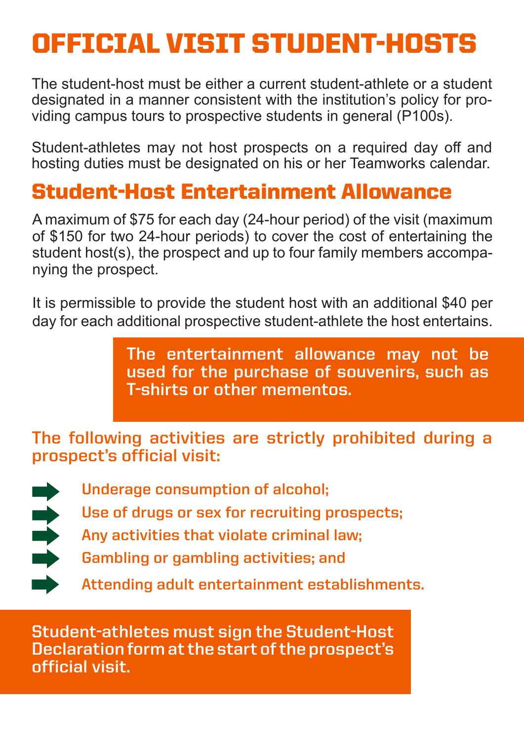# OFFICIAL VISIT STUDENT-HOSTS

The student-host must be either a current student-athlete or a student designated in a manner consistent with the institution's policy for providing campus tours to prospective students in general (P100s).

Student-athletes may not host prospects on a required day off and hosting duties must be designated on his or her Teamworks calendar.

### Student-Host Entertainment Allowance

A maximum of \$75 for each day (24-hour period) of the visit (maximum of \$150 for two 24-hour periods) to cover the cost of entertaining the student host(s), the prospect and up to four family members accompanying the prospect.

It is permissible to provide the student host with an additional \$40 per day for each additional prospective student-athlete the host entertains.

> **The entertainment allowance may not be used for the purchase of souvenirs, such as T-shirts or other mementos.**

**The following activities are strictly prohibited during a prospect's official visit:** 



**Underage consumption of alcohol;**

**Use of drugs or sex for recruiting prospects;**

**Any activities that violate criminal law;**

**Gambling or gambling activities; and**

**Attending adult entertainment establishments.**

**Student-athletes must sign the Student-Host Declaration form at the start of the prospect's official visit.**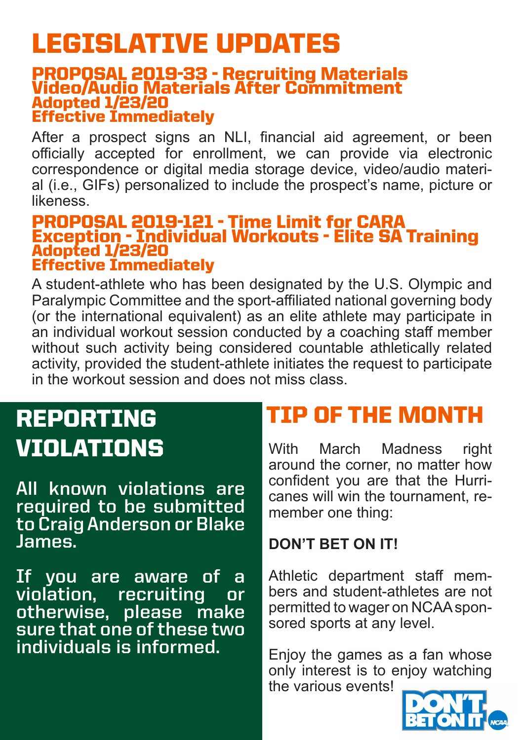# LEGISLATIVE UPDATES

#### PROPOSAL 2019-33 - Recruiting Materials Video/Audio Materials After Commitment Adopted 1/23/20 Effective Immediately

After a prospect signs an NLI, financial aid agreement, or been officially accepted for enrollment, we can provide via electronic correspondence or digital media storage device, video/audio material (i.e., GIFs) personalized to include the prospect's name, picture or likeness.

#### PROPOSAL 2019-121 - Time Limit for CARA Exception - Individual Workouts - Elite SA Training Adopted 1/23/20 Effective Immediately

A student-athlete who has been designated by the U.S. Olympic and Paralympic Committee and the sport-affiliated national governing body (or the international equivalent) as an elite athlete may participate in an individual workout session conducted by a coaching staff member without such activity being considered countable athletically related activity, provided the student-athlete initiates the request to participate in the workout session and does not miss class.

# REPORTING

**All known violations are required to be submitted to Craig Anderson or Blake James.** 

**If you are aware of a violation, recruiting or otherwise, please make sure that one of these two individuals is informed.** 

## TIP OF THE MONTH

VIOLATIONS With March Madness right around the corner, no matter how confident you are that the Hurricanes will win the tournament, remember one thing:

#### **DON'T BET ON IT!**

Athletic department staff members and student-athletes are not permitted to wager on NCAA sponsored sports at any level.

Enjoy the games as a fan whose only interest is to enjoy watching the various events!